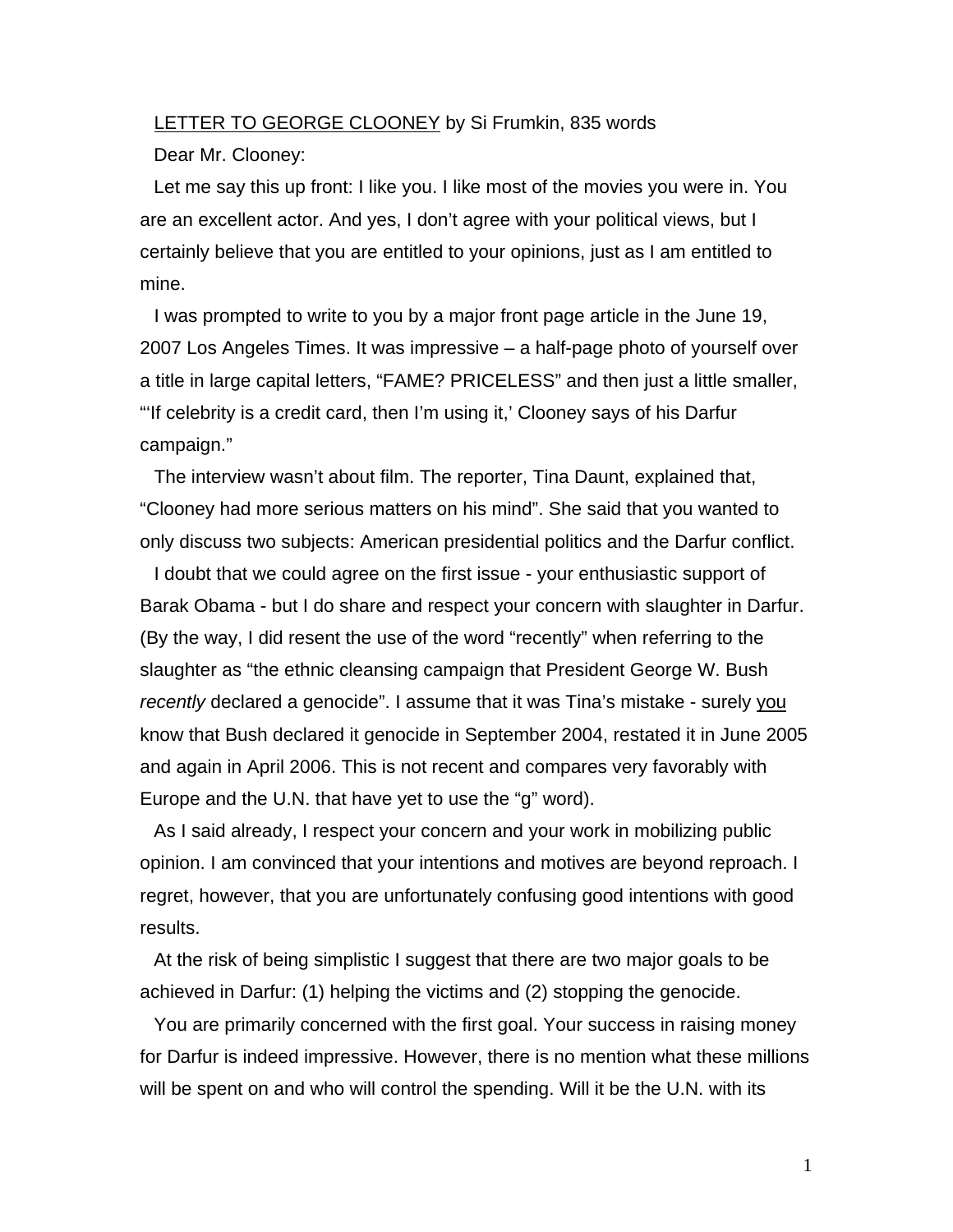## LETTER TO GEORGE CLOONEY by Si Frumkin, 835 words

Dear Mr. Clooney:

Let me say this up front: I like you. I like most of the movies you were in. You are an excellent actor. And yes, I don't agree with your political views, but I certainly believe that you are entitled to your opinions, just as I am entitled to mine.

I was prompted to write to you by a major front page article in the June 19, 2007 Los Angeles Times. It was impressive – a half-page photo of yourself over a title in large capital letters, "FAME? PRICELESS" and then just a little smaller, "'If celebrity is a credit card, then I'm using it,' Clooney says of his Darfur campaign."

The interview wasn't about film. The reporter, Tina Daunt, explained that, "Clooney had more serious matters on his mind". She said that you wanted to only discuss two subjects: American presidential politics and the Darfur conflict.

I doubt that we could agree on the first issue - your enthusiastic support of Barak Obama - but I do share and respect your concern with slaughter in Darfur. (By the way, I did resent the use of the word "recently" when referring to the slaughter as "the ethnic cleansing campaign that President George W. Bush *recently* declared a genocide". I assume that it was Tina's mistake - surely you know that Bush declared it genocide in September 2004, restated it in June 2005 and again in April 2006. This is not recent and compares very favorably with Europe and the U.N. that have yet to use the "g" word).

As I said already, I respect your concern and your work in mobilizing public opinion. I am convinced that your intentions and motives are beyond reproach. I regret, however, that you are unfortunately confusing good intentions with good results.

At the risk of being simplistic I suggest that there are two major goals to be achieved in Darfur: (1) helping the victims and (2) stopping the genocide.

You are primarily concerned with the first goal. Your success in raising money for Darfur is indeed impressive. However, there is no mention what these millions will be spent on and who will control the spending. Will it be the U.N. with its

1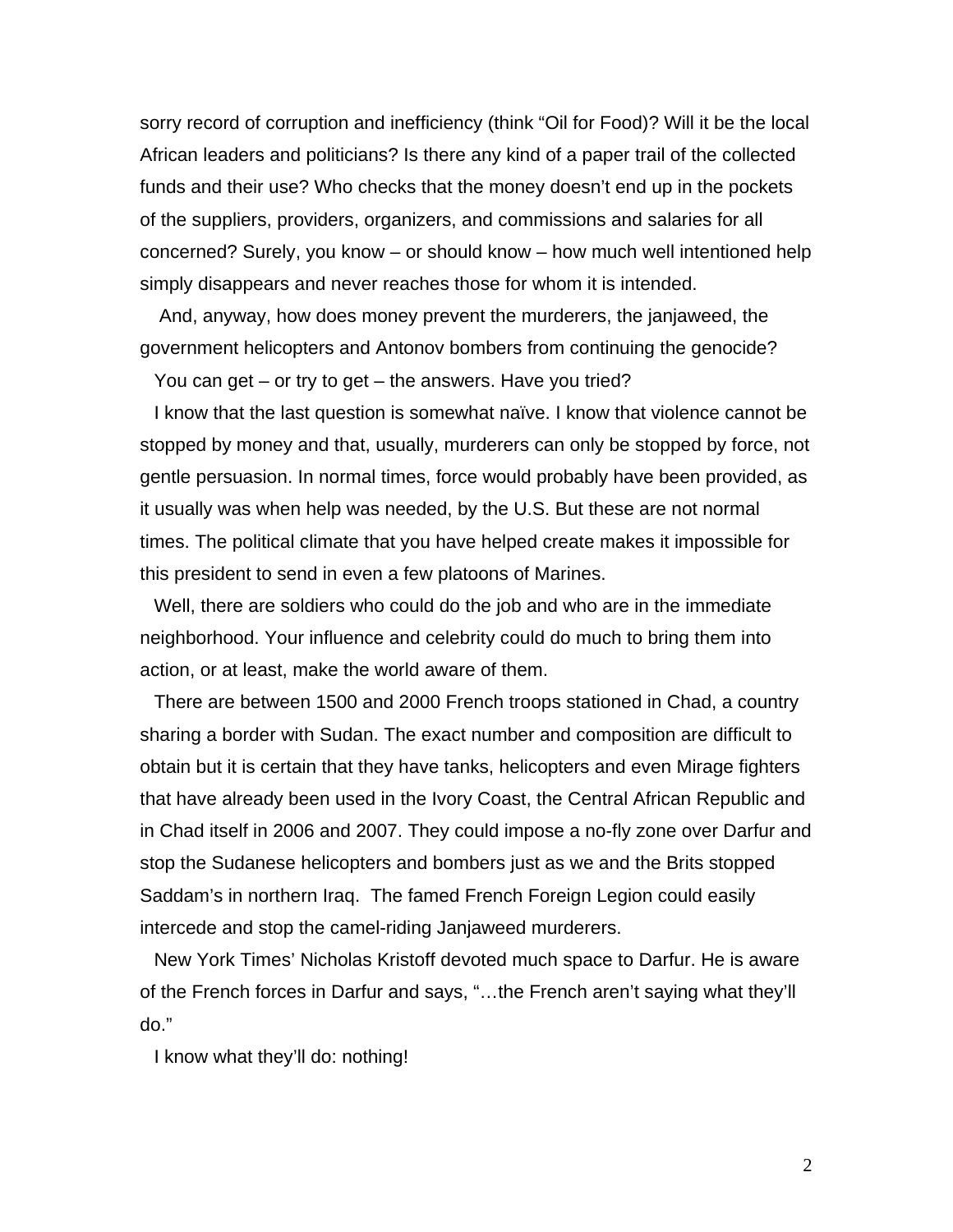sorry record of corruption and inefficiency (think "Oil for Food)? Will it be the local African leaders and politicians? Is there any kind of a paper trail of the collected funds and their use? Who checks that the money doesn't end up in the pockets of the suppliers, providers, organizers, and commissions and salaries for all concerned? Surely, you know – or should know – how much well intentioned help simply disappears and never reaches those for whom it is intended.

 And, anyway, how does money prevent the murderers, the janjaweed, the government helicopters and Antonov bombers from continuing the genocide?

You can get – or try to get – the answers. Have you tried?

I know that the last question is somewhat naïve. I know that violence cannot be stopped by money and that, usually, murderers can only be stopped by force, not gentle persuasion. In normal times, force would probably have been provided, as it usually was when help was needed, by the U.S. But these are not normal times. The political climate that you have helped create makes it impossible for this president to send in even a few platoons of Marines.

Well, there are soldiers who could do the job and who are in the immediate neighborhood. Your influence and celebrity could do much to bring them into action, or at least, make the world aware of them.

There are between 1500 and 2000 French troops stationed in Chad, a country sharing a border with Sudan. The exact number and composition are difficult to obtain but it is certain that they have tanks, helicopters and even Mirage fighters that have already been used in the Ivory Coast, the Central African Republic and in Chad itself in 2006 and 2007. They could impose a no-fly zone over Darfur and stop the Sudanese helicopters and bombers just as we and the Brits stopped Saddam's in northern Iraq. The famed French Foreign Legion could easily intercede and stop the camel-riding Janjaweed murderers.

New York Times' Nicholas Kristoff devoted much space to Darfur. He is aware of the French forces in Darfur and says, "…the French aren't saying what they'll do."

I know what they'll do: nothing!